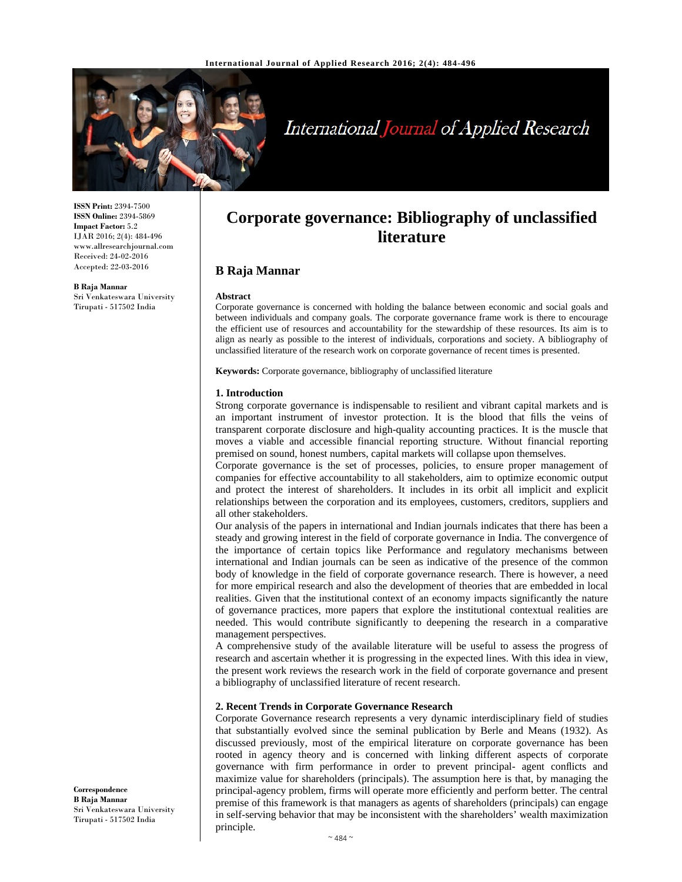

# International Journal of Applied Research

**ISSN Print:** 2394-7500 **ISSN Online:** 2394-5869 **Impact Factor:** 5.2 IJAR 2016; 2(4): 484-496 www.allresearchjournal.com Received: 24-02-2016 Accepted: 22-03-2016

**B Raja Mannar** 

Sri Venkateswara University Tirupati - 517502 India

# **Corporate governance: Bibliography of unclassified literature**

# **B Raja Mannar**

#### **Abstract**

Corporate governance is concerned with holding the balance between economic and social goals and between individuals and company goals. The corporate governance frame work is there to encourage the efficient use of resources and accountability for the stewardship of these resources. Its aim is to align as nearly as possible to the interest of individuals, corporations and society. A bibliography of unclassified literature of the research work on corporate governance of recent times is presented.

**Keywords:** Corporate governance, bibliography of unclassified literature

#### **1. Introduction**

Strong corporate governance is indispensable to resilient and vibrant capital markets and is an important instrument of investor protection. It is the blood that fills the veins of transparent corporate disclosure and high-quality accounting practices. It is the muscle that moves a viable and accessible financial reporting structure. Without financial reporting premised on sound, honest numbers, capital markets will collapse upon themselves.

Corporate governance is the set of processes, policies, to ensure proper management of companies for effective accountability to all stakeholders, aim to optimize economic output and protect the interest of shareholders. It includes in its orbit all implicit and explicit relationships between the corporation and its employees, customers, creditors, suppliers and all other stakeholders.

Our analysis of the papers in international and Indian journals indicates that there has been a steady and growing interest in the field of corporate governance in India. The convergence of the importance of certain topics like Performance and regulatory mechanisms between international and Indian journals can be seen as indicative of the presence of the common body of knowledge in the field of corporate governance research. There is however, a need for more empirical research and also the development of theories that are embedded in local realities. Given that the institutional context of an economy impacts significantly the nature of governance practices, more papers that explore the institutional contextual realities are needed. This would contribute significantly to deepening the research in a comparative management perspectives.

A comprehensive study of the available literature will be useful to assess the progress of research and ascertain whether it is progressing in the expected lines. With this idea in view, the present work reviews the research work in the field of corporate governance and present a bibliography of unclassified literature of recent research.

#### **2. Recent Trends in Corporate Governance Research**

Corporate Governance research represents a very dynamic interdisciplinary field of studies that substantially evolved since the seminal publication by Berle and Means (1932). As discussed previously, most of the empirical literature on corporate governance has been rooted in agency theory and is concerned with linking different aspects of corporate governance with firm performance in order to prevent principal- agent conflicts and maximize value for shareholders (principals). The assumption here is that, by managing the principal-agency problem, firms will operate more efficiently and perform better. The central premise of this framework is that managers as agents of shareholders (principals) can engage in self-serving behavior that may be inconsistent with the shareholders' wealth maximization principle.

**Correspondence B Raja Mannar**  Sri Venkateswara University Tirupati - 517502 India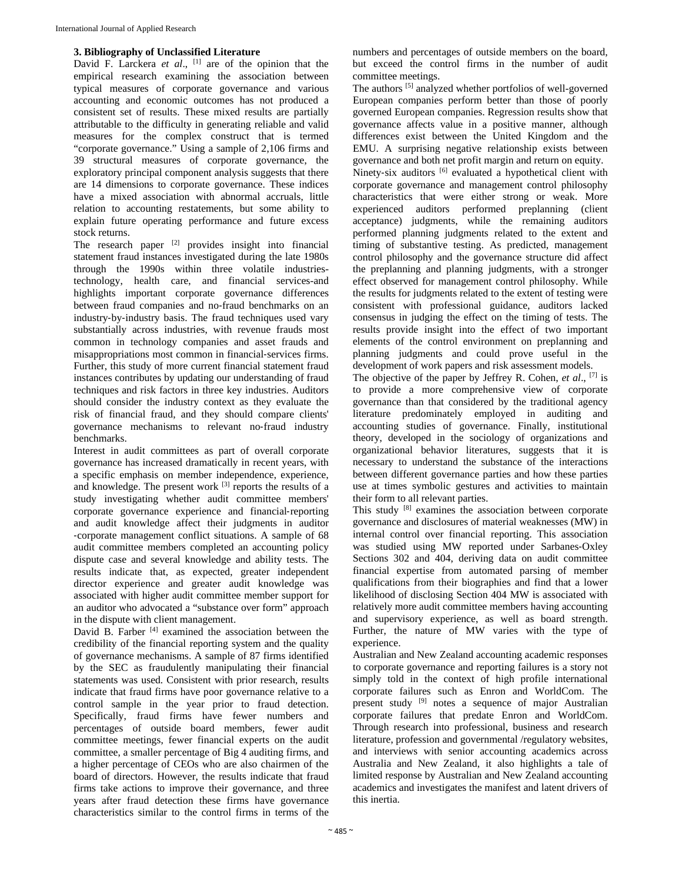#### **3. Bibliography of Unclassified Literature**

David F. Larckera *et al.*, <sup>[1]</sup> are of the opinion that the empirical research examining the association between typical measures of corporate governance and various accounting and economic outcomes has not produced a consistent set of results. These mixed results are partially attributable to the difficulty in generating reliable and valid measures for the complex construct that is termed "corporate governance." Using a sample of 2,106 firms and 39 structural measures of corporate governance, the exploratory principal component analysis suggests that there are 14 dimensions to corporate governance. These indices have a mixed association with abnormal accruals, little relation to accounting restatements, but some ability to explain future operating performance and future excess stock returns.

The research paper  $[2]$  provides insight into financial statement fraud instances investigated during the late 1980s through the 1990s within three volatile industriestechnology, health care, and financial services-and highlights important corporate governance differences between fraud companies and no‐fraud benchmarks on an industry‐by‐industry basis. The fraud techniques used vary substantially across industries, with revenue frauds most common in technology companies and asset frauds and misappropriations most common in financial‐services firms. Further, this study of more current financial statement fraud instances contributes by updating our understanding of fraud techniques and risk factors in three key industries. Auditors should consider the industry context as they evaluate the risk of financial fraud, and they should compare clients' governance mechanisms to relevant no‐fraud industry benchmarks.

Interest in audit committees as part of overall corporate governance has increased dramatically in recent years, with a specific emphasis on member independence, experience, and knowledge. The present work [3] reports the results of a study investigating whether audit committee members' corporate governance experience and financial‐reporting and audit knowledge affect their judgments in auditor ‐corporate management conflict situations. A sample of 68 audit committee members completed an accounting policy dispute case and several knowledge and ability tests. The results indicate that, as expected, greater independent director experience and greater audit knowledge was associated with higher audit committee member support for an auditor who advocated a "substance over form" approach in the dispute with client management.

David B. Farber <sup>[4]</sup> examined the association between the credibility of the financial reporting system and the quality of governance mechanisms. A sample of 87 firms identified by the SEC as fraudulently manipulating their financial statements was used. Consistent with prior research, results indicate that fraud firms have poor governance relative to a control sample in the year prior to fraud detection. Specifically, fraud firms have fewer numbers and percentages of outside board members, fewer audit committee meetings, fewer financial experts on the audit committee, a smaller percentage of Big 4 auditing firms, and a higher percentage of CEOs who are also chairmen of the board of directors. However, the results indicate that fraud firms take actions to improve their governance, and three years after fraud detection these firms have governance characteristics similar to the control firms in terms of the

numbers and percentages of outside members on the board, but exceed the control firms in the number of audit committee meetings.

The authors <sup>[5]</sup> analyzed whether portfolios of well-governed European companies perform better than those of poorly governed European companies. Regression results show that governance affects value in a positive manner, although differences exist between the United Kingdom and the EMU. A surprising negative relationship exists between governance and both net profit margin and return on equity.

Ninety-six auditors  $\begin{bmatrix} 6 \end{bmatrix}$  evaluated a hypothetical client with corporate governance and management control philosophy characteristics that were either strong or weak. More experienced auditors performed preplanning (client acceptance) judgments, while the remaining auditors performed planning judgments related to the extent and timing of substantive testing. As predicted, management control philosophy and the governance structure did affect the preplanning and planning judgments, with a stronger effect observed for management control philosophy. While the results for judgments related to the extent of testing were consistent with professional guidance, auditors lacked consensus in judging the effect on the timing of tests. The results provide insight into the effect of two important elements of the control environment on preplanning and planning judgments and could prove useful in the development of work papers and risk assessment models.

The objective of the paper by Jeffrey R. Cohen, *et al*., [7] is to provide a more comprehensive view of corporate governance than that considered by the traditional agency literature predominately employed in auditing and accounting studies of governance. Finally, institutional theory, developed in the sociology of organizations and organizational behavior literatures, suggests that it is necessary to understand the substance of the interactions between different governance parties and how these parties use at times symbolic gestures and activities to maintain their form to all relevant parties.

This study [8] examines the association between corporate governance and disclosures of material weaknesses (MW) in internal control over financial reporting. This association was studied using MW reported under Sarbanes‐Oxley Sections 302 and 404, deriving data on audit committee financial expertise from automated parsing of member qualifications from their biographies and find that a lower likelihood of disclosing Section 404 MW is associated with relatively more audit committee members having accounting and supervisory experience, as well as board strength. Further, the nature of MW varies with the type of experience.

Australian and New Zealand accounting academic responses to corporate governance and reporting failures is a story not simply told in the context of high profile international corporate failures such as Enron and WorldCom. The present study [9] notes a sequence of major Australian corporate failures that predate Enron and WorldCom. Through research into professional, business and research literature, profession and governmental /regulatory websites, and interviews with senior accounting academics across Australia and New Zealand, it also highlights a tale of limited response by Australian and New Zealand accounting academics and investigates the manifest and latent drivers of this inertia.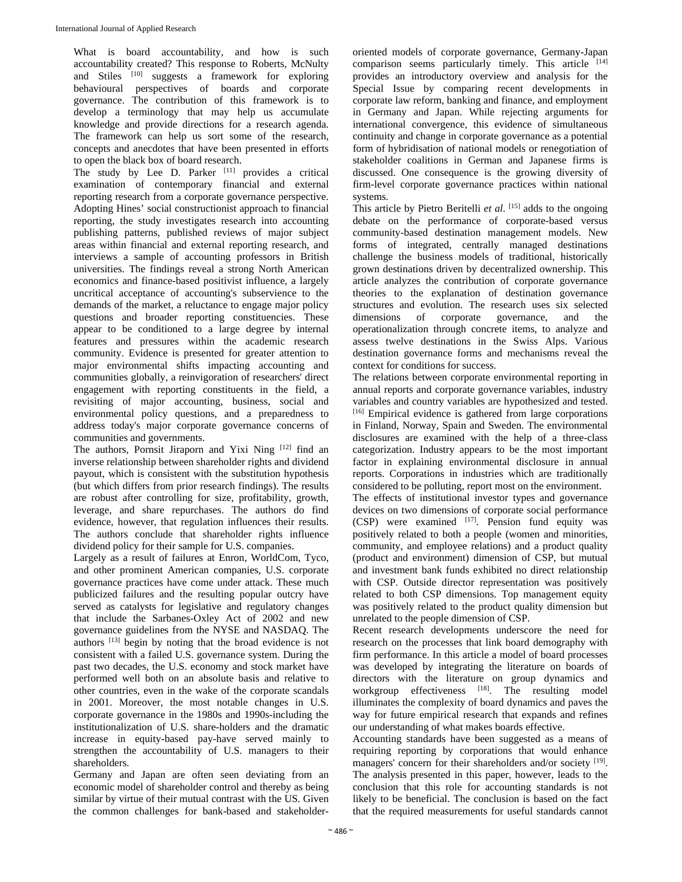What is board accountability, and how is such accountability created? This response to Roberts, McNulty and Stiles [10] suggests a framework for exploring behavioural perspectives of boards and corporate governance. The contribution of this framework is to develop a terminology that may help us accumulate knowledge and provide directions for a research agenda. The framework can help us sort some of the research, concepts and anecdotes that have been presented in efforts to open the black box of board research.

The study by Lee D. Parker [11] provides a critical examination of contemporary financial and external reporting research from a corporate governance perspective. Adopting Hines' social constructionist approach to financial reporting, the study investigates research into accounting publishing patterns, published reviews of major subject areas within financial and external reporting research, and interviews a sample of accounting professors in British universities. The findings reveal a strong North American economics and finance-based positivist influence, a largely uncritical acceptance of accounting's subservience to the demands of the market, a reluctance to engage major policy questions and broader reporting constituencies. These appear to be conditioned to a large degree by internal features and pressures within the academic research community. Evidence is presented for greater attention to major environmental shifts impacting accounting and communities globally, a reinvigoration of researchers' direct engagement with reporting constituents in the field, a revisiting of major accounting, business, social and environmental policy questions, and a preparedness to address today's major corporate governance concerns of communities and governments.

The authors, Pornsit Jiraporn and Yixi Ning [12] find an inverse relationship between shareholder rights and dividend payout, which is consistent with the substitution hypothesis (but which differs from prior research findings). The results are robust after controlling for size, profitability, growth, leverage, and share repurchases. The authors do find evidence, however, that regulation influences their results. The authors conclude that shareholder rights influence dividend policy for their sample for U.S. companies.

Largely as a result of failures at Enron, WorldCom, Tyco, and other prominent American companies, U.S. corporate governance practices have come under attack. These much publicized failures and the resulting popular outcry have served as catalysts for legislative and regulatory changes that include the Sarbanes-Oxley Act of 2002 and new governance guidelines from the NYSE and NASDAQ. The authors [13] begin by noting that the broad evidence is not consistent with a failed U.S. governance system. During the past two decades, the U.S. economy and stock market have performed well both on an absolute basis and relative to other countries, even in the wake of the corporate scandals in 2001. Moreover, the most notable changes in U.S. corporate governance in the 1980s and 1990s-including the institutionalization of U.S. share-holders and the dramatic increase in equity-based pay-have served mainly to strengthen the accountability of U.S. managers to their shareholders.

Germany and Japan are often seen deviating from an economic model of shareholder control and thereby as being similar by virtue of their mutual contrast with the US. Given the common challenges for bank-based and stakeholderoriented models of corporate governance, Germany-Japan comparison seems particularly timely. This article [14] provides an introductory overview and analysis for the Special Issue by comparing recent developments in corporate law reform, banking and finance, and employment in Germany and Japan. While rejecting arguments for international convergence, this evidence of simultaneous continuity and change in corporate governance as a potential form of hybridisation of national models or renegotiation of stakeholder coalitions in German and Japanese firms is discussed. One consequence is the growing diversity of firm-level corporate governance practices within national systems.

This article by Pietro Beritelli *et al*. [15] adds to the ongoing debate on the performance of corporate-based versus community-based destination management models. New forms of integrated, centrally managed destinations challenge the business models of traditional, historically grown destinations driven by decentralized ownership. This article analyzes the contribution of corporate governance theories to the explanation of destination governance structures and evolution. The research uses six selected dimensions of corporate governance, and the operationalization through concrete items, to analyze and assess twelve destinations in the Swiss Alps. Various destination governance forms and mechanisms reveal the context for conditions for success.

The relations between corporate environmental reporting in annual reports and corporate governance variables, industry variables and country variables are hypothesized and tested. [16] Empirical evidence is gathered from large corporations in Finland, Norway, Spain and Sweden. The environmental disclosures are examined with the help of a three-class categorization. Industry appears to be the most important factor in explaining environmental disclosure in annual reports. Corporations in industries which are traditionally considered to be polluting, report most on the environment.

The effects of institutional investor types and governance devices on two dimensions of corporate social performance  $(CSP)$  were examined  $[17]$ . Pension fund equity was positively related to both a people (women and minorities, community, and employee relations) and a product quality (product and environment) dimension of CSP, but mutual and investment bank funds exhibited no direct relationship with CSP. Outside director representation was positively related to both CSP dimensions. Top management equity was positively related to the product quality dimension but unrelated to the people dimension of CSP.

Recent research developments underscore the need for research on the processes that link board demography with firm performance. In this article a model of board processes was developed by integrating the literature on boards of directors with the literature on group dynamics and workgroup effectiveness <sup>[18]</sup>. The resulting model illuminates the complexity of board dynamics and paves the way for future empirical research that expands and refines our understanding of what makes boards effective.

Accounting standards have been suggested as a means of requiring reporting by corporations that would enhance managers' concern for their shareholders and/or society [19]. The analysis presented in this paper, however, leads to the conclusion that this role for accounting standards is not likely to be beneficial. The conclusion is based on the fact that the required measurements for useful standards cannot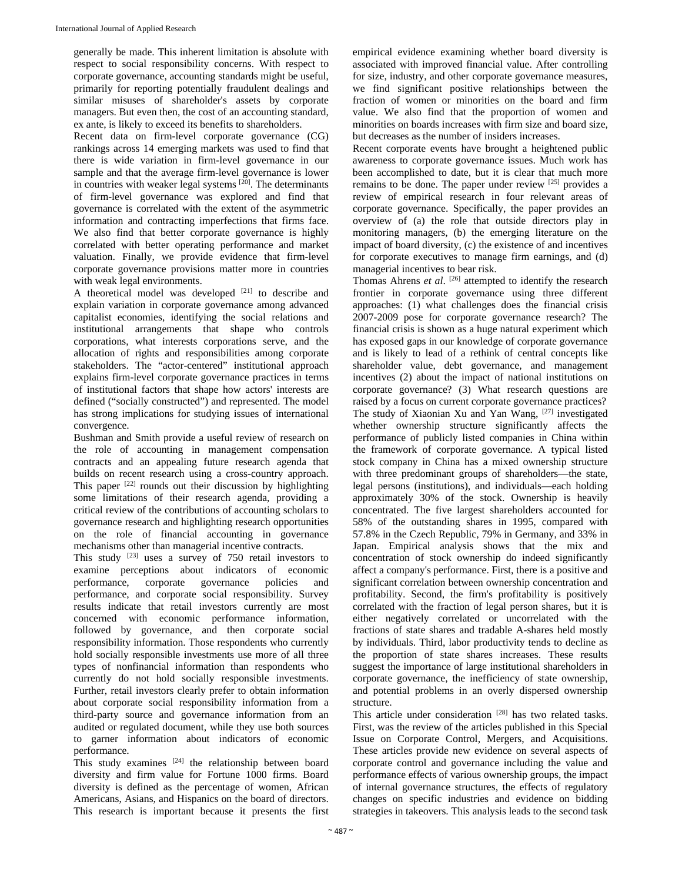generally be made. This inherent limitation is absolute with respect to social responsibility concerns. With respect to corporate governance, accounting standards might be useful, primarily for reporting potentially fraudulent dealings and similar misuses of shareholder's assets by corporate managers. But even then, the cost of an accounting standard, ex ante, is likely to exceed its benefits to shareholders.

Recent data on firm-level corporate governance (CG) rankings across 14 emerging markets was used to find that there is wide variation in firm-level governance in our sample and that the average firm-level governance is lower in countries with weaker legal systems [20]. The determinants of firm-level governance was explored and find that governance is correlated with the extent of the asymmetric information and contracting imperfections that firms face. We also find that better corporate governance is highly correlated with better operating performance and market valuation. Finally, we provide evidence that firm-level corporate governance provisions matter more in countries with weak legal environments.

A theoretical model was developed [21] to describe and explain variation in corporate governance among advanced capitalist economies, identifying the social relations and institutional arrangements that shape who controls corporations, what interests corporations serve, and the allocation of rights and responsibilities among corporate stakeholders. The "actor-centered" institutional approach explains firm-level corporate governance practices in terms of institutional factors that shape how actors' interests are defined ("socially constructed") and represented. The model has strong implications for studying issues of international convergence.

Bushman and Smith provide a useful review of research on the role of accounting in management compensation contracts and an appealing future research agenda that builds on recent research using a cross-country approach. This paper  $[22]$  rounds out their discussion by highlighting some limitations of their research agenda, providing a critical review of the contributions of accounting scholars to governance research and highlighting research opportunities on the role of financial accounting in governance mechanisms other than managerial incentive contracts.

This study [23] uses a survey of 750 retail investors to examine perceptions about indicators of economic performance, corporate governance policies and performance, and corporate social responsibility. Survey results indicate that retail investors currently are most concerned with economic performance information, followed by governance, and then corporate social responsibility information. Those respondents who currently hold socially responsible investments use more of all three types of nonfinancial information than respondents who currently do not hold socially responsible investments. Further, retail investors clearly prefer to obtain information about corporate social responsibility information from a third-party source and governance information from an audited or regulated document, while they use both sources to garner information about indicators of economic performance.

This study examines  $[24]$  the relationship between board diversity and firm value for Fortune 1000 firms. Board diversity is defined as the percentage of women, African Americans, Asians, and Hispanics on the board of directors. This research is important because it presents the first empirical evidence examining whether board diversity is associated with improved financial value. After controlling for size, industry, and other corporate governance measures, we find significant positive relationships between the fraction of women or minorities on the board and firm value. We also find that the proportion of women and minorities on boards increases with firm size and board size, but decreases as the number of insiders increases.

Recent corporate events have brought a heightened public awareness to corporate governance issues. Much work has been accomplished to date, but it is clear that much more remains to be done. The paper under review [25] provides a review of empirical research in four relevant areas of corporate governance. Specifically, the paper provides an overview of (a) the role that outside directors play in monitoring managers, (b) the emerging literature on the impact of board diversity, (c) the existence of and incentives for corporate executives to manage firm earnings, and (d) managerial incentives to bear risk.

Thomas Ahrens *et al.* <sup>[26]</sup> attempted to identify the research frontier in corporate governance using three different approaches: (1) what challenges does the financial crisis 2007-2009 pose for corporate governance research? The financial crisis is shown as a huge natural experiment which has exposed gaps in our knowledge of corporate governance and is likely to lead of a rethink of central concepts like shareholder value, debt governance, and management incentives (2) about the impact of national institutions on corporate governance? (3) What research questions are raised by a focus on current corporate governance practices? The study of Xiaonian Xu and Yan Wang, [27] investigated whether ownership structure significantly affects the performance of publicly listed companies in China within the framework of corporate governance. A typical listed stock company in China has a mixed ownership structure with three predominant groups of shareholders—the state, legal persons (institutions), and individuals—each holding approximately 30% of the stock. Ownership is heavily concentrated. The five largest shareholders accounted for 58% of the outstanding shares in 1995, compared with 57.8% in the Czech Republic, 79% in Germany, and 33% in Japan. Empirical analysis shows that the mix and concentration of stock ownership do indeed significantly affect a company's performance. First, there is a positive and significant correlation between ownership concentration and profitability. Second, the firm's profitability is positively correlated with the fraction of legal person shares, but it is either negatively correlated or uncorrelated with the fractions of state shares and tradable A-shares held mostly by individuals. Third, labor productivity tends to decline as the proportion of state shares increases. These results suggest the importance of large institutional shareholders in corporate governance, the inefficiency of state ownership, and potential problems in an overly dispersed ownership structure.

This article under consideration [28] has two related tasks. First, was the review of the articles published in this Special Issue on Corporate Control, Mergers, and Acquisitions. These articles provide new evidence on several aspects of corporate control and governance including the value and performance effects of various ownership groups, the impact of internal governance structures, the effects of regulatory changes on specific industries and evidence on bidding strategies in takeovers. This analysis leads to the second task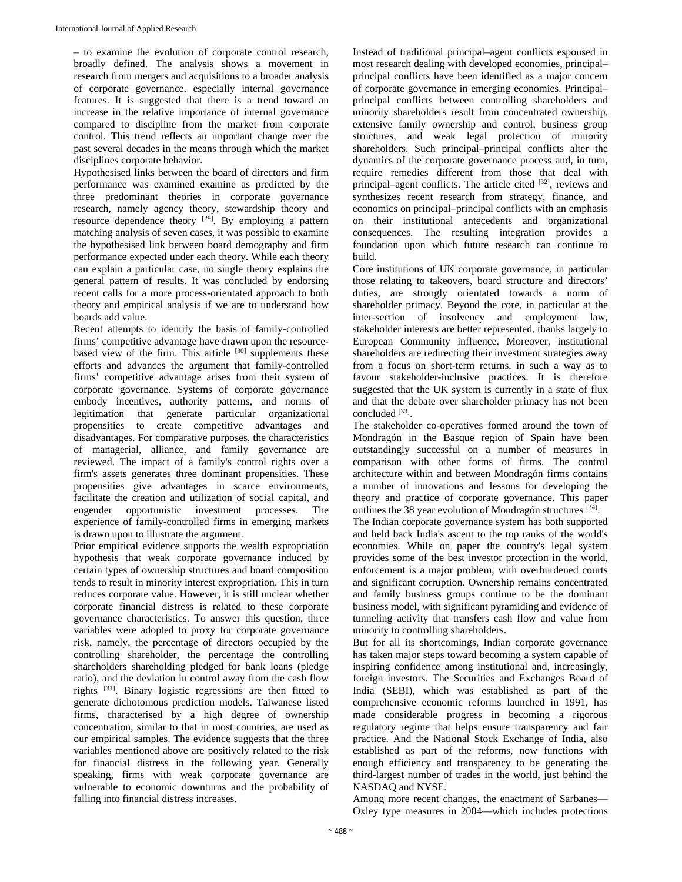– to examine the evolution of corporate control research, broadly defined. The analysis shows a movement in research from mergers and acquisitions to a broader analysis of corporate governance, especially internal governance features. It is suggested that there is a trend toward an increase in the relative importance of internal governance compared to discipline from the market from corporate control. This trend reflects an important change over the past several decades in the means through which the market disciplines corporate behavior.

Hypothesised links between the board of directors and firm performance was examined examine as predicted by the three predominant theories in corporate governance research, namely agency theory, stewardship theory and resource dependence theory  $[29]$ . By employing a pattern matching analysis of seven cases, it was possible to examine the hypothesised link between board demography and firm performance expected under each theory. While each theory can explain a particular case, no single theory explains the general pattern of results. It was concluded by endorsing recent calls for a more process-orientated approach to both theory and empirical analysis if we are to understand how boards add value.

Recent attempts to identify the basis of family-controlled firms' competitive advantage have drawn upon the resourcebased view of the firm. This article [30] supplements these efforts and advances the argument that family-controlled firms' competitive advantage arises from their system of corporate governance. Systems of corporate governance embody incentives, authority patterns, and norms of legitimation that generate particular organizational propensities to create competitive advantages and disadvantages. For comparative purposes, the characteristics of managerial, alliance, and family governance are reviewed. The impact of a family's control rights over a firm's assets generates three dominant propensities. These propensities give advantages in scarce environments, facilitate the creation and utilization of social capital, and engender opportunistic investment processes. The experience of family-controlled firms in emerging markets is drawn upon to illustrate the argument.

Prior empirical evidence supports the wealth expropriation hypothesis that weak corporate governance induced by certain types of ownership structures and board composition tends to result in minority interest expropriation. This in turn reduces corporate value. However, it is still unclear whether corporate financial distress is related to these corporate governance characteristics. To answer this question, three variables were adopted to proxy for corporate governance risk, namely, the percentage of directors occupied by the controlling shareholder, the percentage the controlling shareholders shareholding pledged for bank loans (pledge ratio), and the deviation in control away from the cash flow rights [31]. Binary logistic regressions are then fitted to generate dichotomous prediction models. Taiwanese listed firms, characterised by a high degree of ownership concentration, similar to that in most countries, are used as our empirical samples. The evidence suggests that the three variables mentioned above are positively related to the risk for financial distress in the following year. Generally speaking, firms with weak corporate governance are vulnerable to economic downturns and the probability of falling into financial distress increases.

Instead of traditional principal–agent conflicts espoused in most research dealing with developed economies, principal– principal conflicts have been identified as a major concern of corporate governance in emerging economies. Principal– principal conflicts between controlling shareholders and minority shareholders result from concentrated ownership, extensive family ownership and control, business group structures, and weak legal protection of minority shareholders. Such principal–principal conflicts alter the dynamics of the corporate governance process and, in turn, require remedies different from those that deal with principal–agent conflicts. The article cited [32], reviews and synthesizes recent research from strategy, finance, and economics on principal–principal conflicts with an emphasis on their institutional antecedents and organizational consequences. The resulting integration provides a foundation upon which future research can continue to build.

Core institutions of UK corporate governance, in particular those relating to takeovers, board structure and directors' duties, are strongly orientated towards a norm of shareholder primacy. Beyond the core, in particular at the inter-section of insolvency and employment law, stakeholder interests are better represented, thanks largely to European Community influence. Moreover, institutional shareholders are redirecting their investment strategies away from a focus on short-term returns, in such a way as to favour stakeholder-inclusive practices. It is therefore suggested that the UK system is currently in a state of flux and that the debate over shareholder primacy has not been concluded [33].

The stakeholder co-operatives formed around the town of Mondragón in the Basque region of Spain have been outstandingly successful on a number of measures in comparison with other forms of firms. The control architecture within and between Mondragón firms contains a number of innovations and lessons for developing the theory and practice of corporate governance. This paper outlines the 38 year evolution of Mondragón structures [34].

The Indian corporate governance system has both supported and held back India's ascent to the top ranks of the world's economies. While on paper the country's legal system provides some of the best investor protection in the world, enforcement is a major problem, with overburdened courts and significant corruption. Ownership remains concentrated and family business groups continue to be the dominant business model, with significant pyramiding and evidence of tunneling activity that transfers cash flow and value from minority to controlling shareholders.

But for all its shortcomings, Indian corporate governance has taken major steps toward becoming a system capable of inspiring confidence among institutional and, increasingly, foreign investors. The Securities and Exchanges Board of India (SEBI), which was established as part of the comprehensive economic reforms launched in 1991, has made considerable progress in becoming a rigorous regulatory regime that helps ensure transparency and fair practice. And the National Stock Exchange of India, also established as part of the reforms, now functions with enough efficiency and transparency to be generating the third-largest number of trades in the world, just behind the NASDAQ and NYSE.

Among more recent changes, the enactment of Sarbanes— Oxley type measures in 2004—which includes protections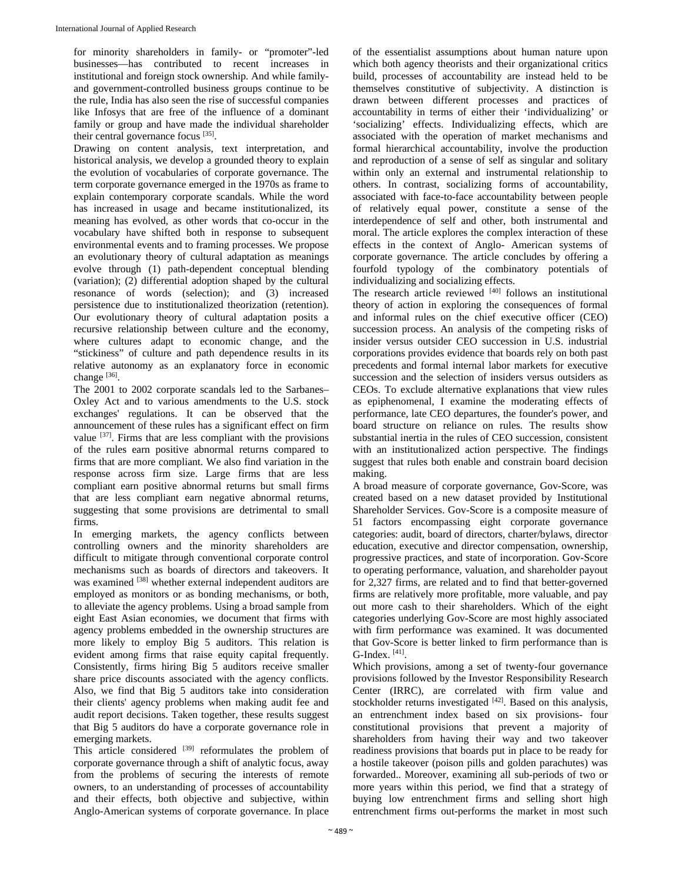for minority shareholders in family- or "promoter"-led businesses—has contributed to recent increases in institutional and foreign stock ownership. And while familyand government-controlled business groups continue to be the rule, India has also seen the rise of successful companies like Infosys that are free of the influence of a dominant family or group and have made the individual shareholder their central governance focus [35].

Drawing on content analysis, text interpretation, and historical analysis, we develop a grounded theory to explain the evolution of vocabularies of corporate governance. The term corporate governance emerged in the 1970s as frame to explain contemporary corporate scandals. While the word has increased in usage and became institutionalized, its meaning has evolved, as other words that co-occur in the vocabulary have shifted both in response to subsequent environmental events and to framing processes. We propose an evolutionary theory of cultural adaptation as meanings evolve through (1) path-dependent conceptual blending (variation); (2) differential adoption shaped by the cultural resonance of words (selection); and (3) increased persistence due to institutionalized theorization (retention). Our evolutionary theory of cultural adaptation posits a recursive relationship between culture and the economy, where cultures adapt to economic change, and the "stickiness" of culture and path dependence results in its relative autonomy as an explanatory force in economic change [36].

The 2001 to 2002 corporate scandals led to the Sarbanes– Oxley Act and to various amendments to the U.S. stock exchanges' regulations. It can be observed that the announcement of these rules has a significant effect on firm value [37]. Firms that are less compliant with the provisions of the rules earn positive abnormal returns compared to firms that are more compliant. We also find variation in the response across firm size. Large firms that are less compliant earn positive abnormal returns but small firms that are less compliant earn negative abnormal returns, suggesting that some provisions are detrimental to small firms.

In emerging markets, the agency conflicts between controlling owners and the minority shareholders are difficult to mitigate through conventional corporate control mechanisms such as boards of directors and takeovers. It was examined <sup>[38]</sup> whether external independent auditors are employed as monitors or as bonding mechanisms, or both, to alleviate the agency problems. Using a broad sample from eight East Asian economies, we document that firms with agency problems embedded in the ownership structures are more likely to employ Big 5 auditors. This relation is evident among firms that raise equity capital frequently. Consistently, firms hiring Big 5 auditors receive smaller share price discounts associated with the agency conflicts. Also, we find that Big 5 auditors take into consideration their clients' agency problems when making audit fee and audit report decisions. Taken together, these results suggest that Big 5 auditors do have a corporate governance role in emerging markets.

This article considered <sup>[39]</sup> reformulates the problem of corporate governance through a shift of analytic focus, away from the problems of securing the interests of remote owners, to an understanding of processes of accountability and their effects, both objective and subjective, within Anglo-American systems of corporate governance. In place

of the essentialist assumptions about human nature upon which both agency theorists and their organizational critics build, processes of accountability are instead held to be themselves constitutive of subjectivity. A distinction is drawn between different processes and practices of accountability in terms of either their 'individualizing' or 'socializing' effects. Individualizing effects, which are associated with the operation of market mechanisms and formal hierarchical accountability, involve the production and reproduction of a sense of self as singular and solitary within only an external and instrumental relationship to others. In contrast, socializing forms of accountability, associated with face-to-face accountability between people of relatively equal power, constitute a sense of the interdependence of self and other, both instrumental and moral. The article explores the complex interaction of these effects in the context of Anglo- American systems of corporate governance. The article concludes by offering a fourfold typology of the combinatory potentials of individualizing and socializing effects.

The research article reviewed [40] follows an institutional theory of action in exploring the consequences of formal and informal rules on the chief executive officer (CEO) succession process. An analysis of the competing risks of insider versus outsider CEO succession in U.S. industrial corporations provides evidence that boards rely on both past precedents and formal internal labor markets for executive succession and the selection of insiders versus outsiders as CEOs. To exclude alternative explanations that view rules as epiphenomenal, I examine the moderating effects of performance, late CEO departures, the founder's power, and board structure on reliance on rules. The results show substantial inertia in the rules of CEO succession, consistent with an institutionalized action perspective. The findings suggest that rules both enable and constrain board decision making.

A broad measure of corporate governance, Gov-Score, was created based on a new dataset provided by Institutional Shareholder Services. Gov-Score is a composite measure of 51 factors encompassing eight corporate governance categories: audit, board of directors, charter/bylaws, director education, executive and director compensation, ownership, progressive practices, and state of incorporation. Gov-Score to operating performance, valuation, and shareholder payout for 2,327 firms, are related and to find that better-governed firms are relatively more profitable, more valuable, and pay out more cash to their shareholders. Which of the eight categories underlying Gov-Score are most highly associated with firm performance was examined. It was documented that Gov-Score is better linked to firm performance than is G-Index. [41].

Which provisions, among a set of twenty-four governance provisions followed by the Investor Responsibility Research Center (IRRC), are correlated with firm value and stockholder returns investigated [42]. Based on this analysis, an entrenchment index based on six provisions- four constitutional provisions that prevent a majority of shareholders from having their way and two takeover readiness provisions that boards put in place to be ready for a hostile takeover (poison pills and golden parachutes) was forwarded.. Moreover, examining all sub-periods of two or more years within this period, we find that a strategy of buying low entrenchment firms and selling short high entrenchment firms out-performs the market in most such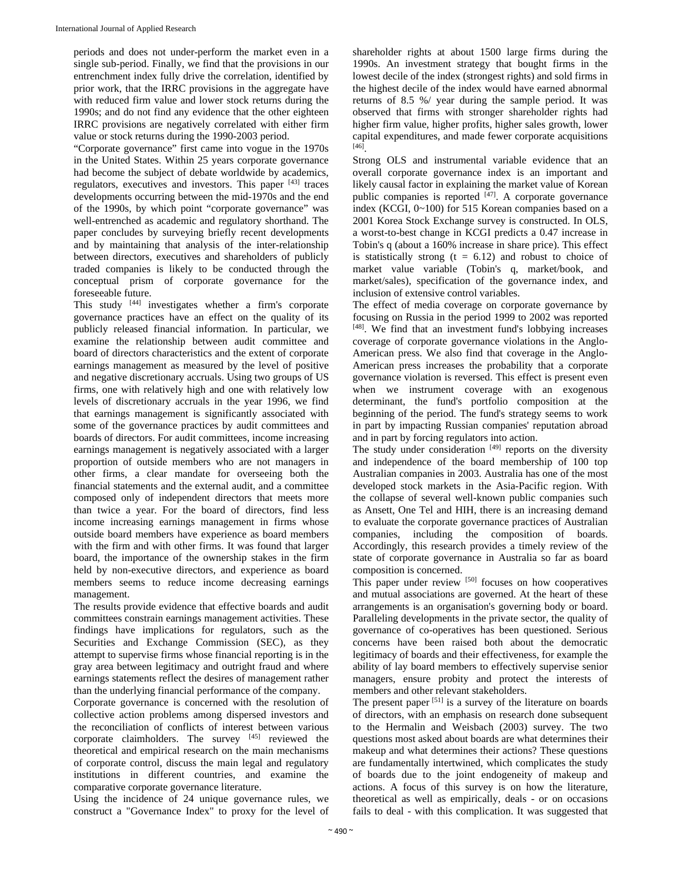periods and does not under-perform the market even in a single sub-period. Finally, we find that the provisions in our entrenchment index fully drive the correlation, identified by prior work, that the IRRC provisions in the aggregate have with reduced firm value and lower stock returns during the 1990s; and do not find any evidence that the other eighteen IRRC provisions are negatively correlated with either firm value or stock returns during the 1990-2003 period.

"Corporate governance" first came into vogue in the 1970s in the United States. Within 25 years corporate governance had become the subject of debate worldwide by academics, regulators, executives and investors. This paper [43] traces developments occurring between the mid-1970s and the end of the 1990s, by which point "corporate governance" was well-entrenched as academic and regulatory shorthand. The paper concludes by surveying briefly recent developments and by maintaining that analysis of the inter-relationship between directors, executives and shareholders of publicly traded companies is likely to be conducted through the conceptual prism of corporate governance for the foreseeable future.

This study [44] investigates whether a firm's corporate governance practices have an effect on the quality of its publicly released financial information. In particular, we examine the relationship between audit committee and board of directors characteristics and the extent of corporate earnings management as measured by the level of positive and negative discretionary accruals. Using two groups of US firms, one with relatively high and one with relatively low levels of discretionary accruals in the year 1996, we find that earnings management is significantly associated with some of the governance practices by audit committees and boards of directors. For audit committees, income increasing earnings management is negatively associated with a larger proportion of outside members who are not managers in other firms, a clear mandate for overseeing both the financial statements and the external audit, and a committee composed only of independent directors that meets more than twice a year. For the board of directors, find less income increasing earnings management in firms whose outside board members have experience as board members with the firm and with other firms. It was found that larger board, the importance of the ownership stakes in the firm held by non-executive directors, and experience as board members seems to reduce income decreasing earnings management.

The results provide evidence that effective boards and audit committees constrain earnings management activities. These findings have implications for regulators, such as the Securities and Exchange Commission (SEC), as they attempt to supervise firms whose financial reporting is in the gray area between legitimacy and outright fraud and where earnings statements reflect the desires of management rather than the underlying financial performance of the company.

Corporate governance is concerned with the resolution of collective action problems among dispersed investors and the reconciliation of conflicts of interest between various corporate claimholders. The survey [45] reviewed the theoretical and empirical research on the main mechanisms of corporate control, discuss the main legal and regulatory institutions in different countries, and examine the comparative corporate governance literature.

Using the incidence of 24 unique governance rules, we construct a "Governance Index" to proxy for the level of

shareholder rights at about 1500 large firms during the 1990s. An investment strategy that bought firms in the lowest decile of the index (strongest rights) and sold firms in the highest decile of the index would have earned abnormal returns of 8.5 %/ year during the sample period. It was observed that firms with stronger shareholder rights had higher firm value, higher profits, higher sales growth, lower capital expenditures, and made fewer corporate acquisitions  $[46]$ .

Strong OLS and instrumental variable evidence that an overall corporate governance index is an important and likely causal factor in explaining the market value of Korean public companies is reported  $[47]$ . A corporate governance index (KCGI, 0~100) for 515 Korean companies based on a 2001 Korea Stock Exchange survey is constructed. In OLS, a worst-to-best change in KCGI predicts a 0.47 increase in Tobin's q (about a 160% increase in share price). This effect is statistically strong  $(t = 6.12)$  and robust to choice of market value variable (Tobin's q, market/book, and market/sales), specification of the governance index, and inclusion of extensive control variables.

The effect of media coverage on corporate governance by focusing on Russia in the period 1999 to 2002 was reported [48]. We find that an investment fund's lobbying increases coverage of corporate governance violations in the Anglo-American press. We also find that coverage in the Anglo-American press increases the probability that a corporate governance violation is reversed. This effect is present even when we instrument coverage with an exogenous determinant, the fund's portfolio composition at the beginning of the period. The fund's strategy seems to work in part by impacting Russian companies' reputation abroad and in part by forcing regulators into action.

The study under consideration  $[49]$  reports on the diversity and independence of the board membership of 100 top Australian companies in 2003. Australia has one of the most developed stock markets in the Asia-Pacific region. With the collapse of several well-known public companies such as Ansett, One Tel and HIH, there is an increasing demand to evaluate the corporate governance practices of Australian companies, including the composition of boards. Accordingly, this research provides a timely review of the state of corporate governance in Australia so far as board composition is concerned.

This paper under review [50] focuses on how cooperatives and mutual associations are governed. At the heart of these arrangements is an organisation's governing body or board. Paralleling developments in the private sector, the quality of governance of co-operatives has been questioned. Serious concerns have been raised both about the democratic legitimacy of boards and their effectiveness, for example the ability of lay board members to effectively supervise senior managers, ensure probity and protect the interests of members and other relevant stakeholders.

The present paper  $[51]$  is a survey of the literature on boards of directors, with an emphasis on research done subsequent to the Hermalin and Weisbach (2003) survey. The two questions most asked about boards are what determines their makeup and what determines their actions? These questions are fundamentally intertwined, which complicates the study of boards due to the joint endogeneity of makeup and actions. A focus of this survey is on how the literature, theoretical as well as empirically, deals - or on occasions fails to deal - with this complication. It was suggested that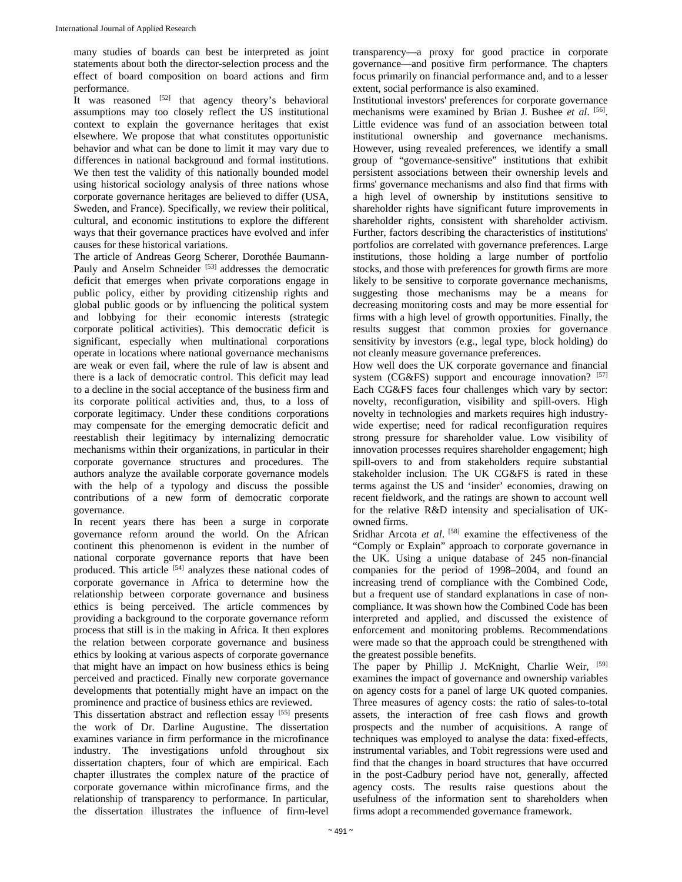many studies of boards can best be interpreted as joint statements about both the director-selection process and the effect of board composition on board actions and firm performance.

It was reasoned  $[52]$  that agency theory's behavioral assumptions may too closely reflect the US institutional context to explain the governance heritages that exist elsewhere. We propose that what constitutes opportunistic behavior and what can be done to limit it may vary due to differences in national background and formal institutions. We then test the validity of this nationally bounded model using historical sociology analysis of three nations whose corporate governance heritages are believed to differ (USA, Sweden, and France). Specifically, we review their political, cultural, and economic institutions to explore the different ways that their governance practices have evolved and infer causes for these historical variations.

The article of Andreas Georg Scherer, Dorothée Baumann-Pauly and Anselm Schneider<sup>[53]</sup> addresses the democratic deficit that emerges when private corporations engage in public policy, either by providing citizenship rights and global public goods or by influencing the political system and lobbying for their economic interests (strategic corporate political activities). This democratic deficit is significant, especially when multinational corporations operate in locations where national governance mechanisms are weak or even fail, where the rule of law is absent and there is a lack of democratic control. This deficit may lead to a decline in the social acceptance of the business firm and its corporate political activities and, thus, to a loss of corporate legitimacy. Under these conditions corporations may compensate for the emerging democratic deficit and reestablish their legitimacy by internalizing democratic mechanisms within their organizations, in particular in their corporate governance structures and procedures. The authors analyze the available corporate governance models with the help of a typology and discuss the possible contributions of a new form of democratic corporate governance.

In recent years there has been a surge in corporate governance reform around the world. On the African continent this phenomenon is evident in the number of national corporate governance reports that have been produced. This article [54] analyzes these national codes of corporate governance in Africa to determine how the relationship between corporate governance and business ethics is being perceived. The article commences by providing a background to the corporate governance reform process that still is in the making in Africa. It then explores the relation between corporate governance and business ethics by looking at various aspects of corporate governance that might have an impact on how business ethics is being perceived and practiced. Finally new corporate governance developments that potentially might have an impact on the prominence and practice of business ethics are reviewed.

This dissertation abstract and reflection essay [55] presents the work of Dr. Darline Augustine. The dissertation examines variance in firm performance in the microfinance industry. The investigations unfold throughout six dissertation chapters, four of which are empirical. Each chapter illustrates the complex nature of the practice of corporate governance within microfinance firms, and the relationship of transparency to performance. In particular, the dissertation illustrates the influence of firm-level

transparency—a proxy for good practice in corporate governance—and positive firm performance. The chapters focus primarily on financial performance and, and to a lesser extent, social performance is also examined.

Institutional investors' preferences for corporate governance mechanisms were examined by Brian J. Bushee *et al*. [56]. Little evidence was fund of an association between total institutional ownership and governance mechanisms. However, using revealed preferences, we identify a small group of "governance-sensitive" institutions that exhibit persistent associations between their ownership levels and firms' governance mechanisms and also find that firms with a high level of ownership by institutions sensitive to shareholder rights have significant future improvements in shareholder rights, consistent with shareholder activism. Further, factors describing the characteristics of institutions' portfolios are correlated with governance preferences. Large institutions, those holding a large number of portfolio stocks, and those with preferences for growth firms are more likely to be sensitive to corporate governance mechanisms, suggesting those mechanisms may be a means for decreasing monitoring costs and may be more essential for firms with a high level of growth opportunities. Finally, the results suggest that common proxies for governance sensitivity by investors (e.g., legal type, block holding) do not cleanly measure governance preferences.

How well does the UK corporate governance and financial system (CG&FS) support and encourage innovation? [57] Each CG&FS faces four challenges which vary by sector: novelty, reconfiguration, visibility and spill-overs. High novelty in technologies and markets requires high industrywide expertise; need for radical reconfiguration requires strong pressure for shareholder value. Low visibility of innovation processes requires shareholder engagement; high spill-overs to and from stakeholders require substantial stakeholder inclusion. The UK CG&FS is rated in these terms against the US and 'insider' economies, drawing on recent fieldwork, and the ratings are shown to account well for the relative R&D intensity and specialisation of UKowned firms.

Sridhar Arcota *et al.* [58] examine the effectiveness of the "Comply or Explain" approach to corporate governance in the UK. Using a unique database of 245 non-financial companies for the period of 1998–2004, and found an increasing trend of compliance with the Combined Code, but a frequent use of standard explanations in case of noncompliance. It was shown how the Combined Code has been interpreted and applied, and discussed the existence of enforcement and monitoring problems. Recommendations were made so that the approach could be strengthened with the greatest possible benefits.

The paper by Phillip J. McKnight, Charlie Weir, [59] examines the impact of governance and ownership variables on agency costs for a panel of large UK quoted companies. Three measures of agency costs: the ratio of sales-to-total assets, the interaction of free cash flows and growth prospects and the number of acquisitions. A range of techniques was employed to analyse the data: fixed-effects, instrumental variables, and Tobit regressions were used and find that the changes in board structures that have occurred in the post-Cadbury period have not, generally, affected agency costs. The results raise questions about the usefulness of the information sent to shareholders when firms adopt a recommended governance framework.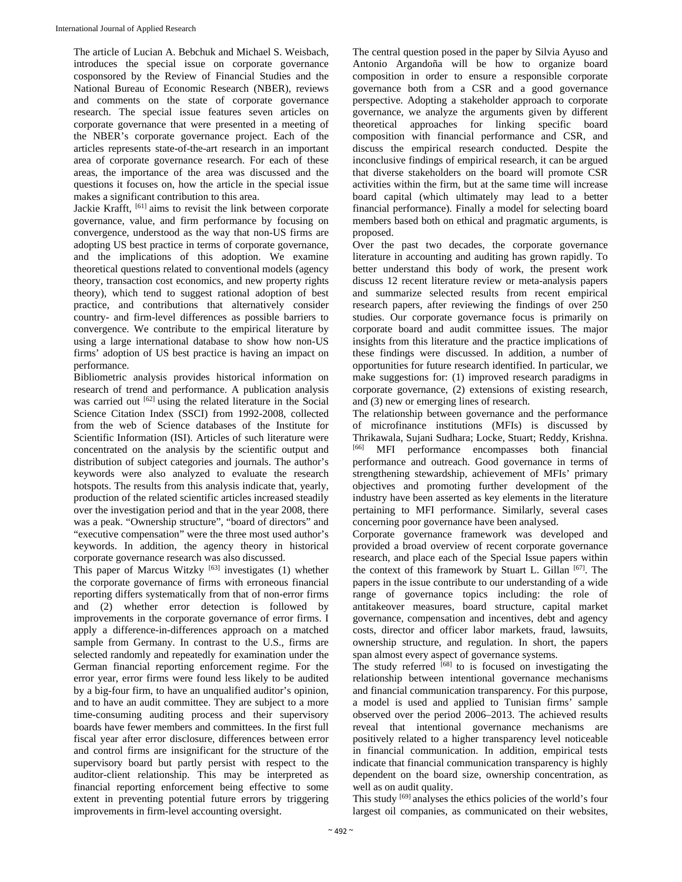The article of Lucian A. Bebchuk and Michael S. Weisbach, introduces the special issue on corporate governance cosponsored by the Review of Financial Studies and the National Bureau of Economic Research (NBER), reviews and comments on the state of corporate governance research. The special issue features seven articles on corporate governance that were presented in a meeting of the NBER's corporate governance project. Each of the articles represents state-of-the-art research in an important area of corporate governance research. For each of these areas, the importance of the area was discussed and the questions it focuses on, how the article in the special issue makes a significant contribution to this area.

Jackie Krafft, [61] aims to revisit the link between corporate governance, value, and firm performance by focusing on convergence, understood as the way that non-US firms are adopting US best practice in terms of corporate governance, and the implications of this adoption. We examine theoretical questions related to conventional models (agency theory, transaction cost economics, and new property rights theory), which tend to suggest rational adoption of best practice, and contributions that alternatively consider country- and firm-level differences as possible barriers to convergence. We contribute to the empirical literature by using a large international database to show how non-US firms' adoption of US best practice is having an impact on performance.

Bibliometric analysis provides historical information on research of trend and performance. A publication analysis was carried out <sup>[62]</sup> using the related literature in the Social Science Citation Index (SSCI) from 1992-2008, collected from the web of Science databases of the Institute for Scientific Information (ISI). Articles of such literature were concentrated on the analysis by the scientific output and distribution of subject categories and journals. The author's keywords were also analyzed to evaluate the research hotspots. The results from this analysis indicate that, yearly, production of the related scientific articles increased steadily over the investigation period and that in the year 2008, there was a peak. "Ownership structure", "board of directors" and "executive compensation" were the three most used author's keywords. In addition, the agency theory in historical corporate governance research was also discussed.

This paper of Marcus Witzky  $[63]$  investigates (1) whether the corporate governance of firms with erroneous financial reporting differs systematically from that of non-error firms and (2) whether error detection is followed by improvements in the corporate governance of error firms. I apply a difference-in-differences approach on a matched sample from Germany. In contrast to the U.S., firms are selected randomly and repeatedly for examination under the German financial reporting enforcement regime. For the error year, error firms were found less likely to be audited by a big-four firm, to have an unqualified auditor's opinion, and to have an audit committee. They are subject to a more time-consuming auditing process and their supervisory boards have fewer members and committees. In the first full fiscal year after error disclosure, differences between error and control firms are insignificant for the structure of the supervisory board but partly persist with respect to the auditor-client relationship. This may be interpreted as financial reporting enforcement being effective to some extent in preventing potential future errors by triggering improvements in firm-level accounting oversight.

The central question posed in the paper by Silvia Ayuso and Antonio Argandoña will be how to organize board composition in order to ensure a responsible corporate governance both from a CSR and a good governance perspective. Adopting a stakeholder approach to corporate governance, we analyze the arguments given by different theoretical approaches for linking specific board composition with financial performance and CSR, and discuss the empirical research conducted. Despite the inconclusive findings of empirical research, it can be argued that diverse stakeholders on the board will promote CSR activities within the firm, but at the same time will increase board capital (which ultimately may lead to a better financial performance). Finally a model for selecting board members based both on ethical and pragmatic arguments, is proposed.

Over the past two decades, the corporate governance literature in accounting and auditing has grown rapidly. To better understand this body of work, the present work discuss 12 recent literature review or meta-analysis papers and summarize selected results from recent empirical research papers, after reviewing the findings of over 250 studies. Our corporate governance focus is primarily on corporate board and audit committee issues. The major insights from this literature and the practice implications of these findings were discussed. In addition, a number of opportunities for future research identified. In particular, we make suggestions for: (1) improved research paradigms in corporate governance, (2) extensions of existing research, and (3) new or emerging lines of research.

The relationship between governance and the performance of microfinance institutions (MFIs) is discussed by Thrikawala, Sujani Sudhara; Locke, Stuart; Reddy, Krishna. [66] MFI performance encompasses both financial performance and outreach. Good governance in terms of strengthening stewardship, achievement of MFIs' primary objectives and promoting further development of the industry have been asserted as key elements in the literature pertaining to MFI performance. Similarly, several cases concerning poor governance have been analysed.

Corporate governance framework was developed and provided a broad overview of recent corporate governance research, and place each of the Special Issue papers within the context of this framework by Stuart L. Gillan [67]. The papers in the issue contribute to our understanding of a wide range of governance topics including: the role of antitakeover measures, board structure, capital market governance, compensation and incentives, debt and agency costs, director and officer labor markets, fraud, lawsuits, ownership structure, and regulation. In short, the papers span almost every aspect of governance systems.

The study referred  $^{[68]}$  to is focused on investigating the relationship between intentional governance mechanisms and financial communication transparency. For this purpose, a model is used and applied to Tunisian firms' sample observed over the period 2006–2013. The achieved results reveal that intentional governance mechanisms are positively related to a higher transparency level noticeable in financial communication. In addition, empirical tests indicate that financial communication transparency is highly dependent on the board size, ownership concentration, as well as on audit quality.

This study [69] analyses the ethics policies of the world's four largest oil companies, as communicated on their websites,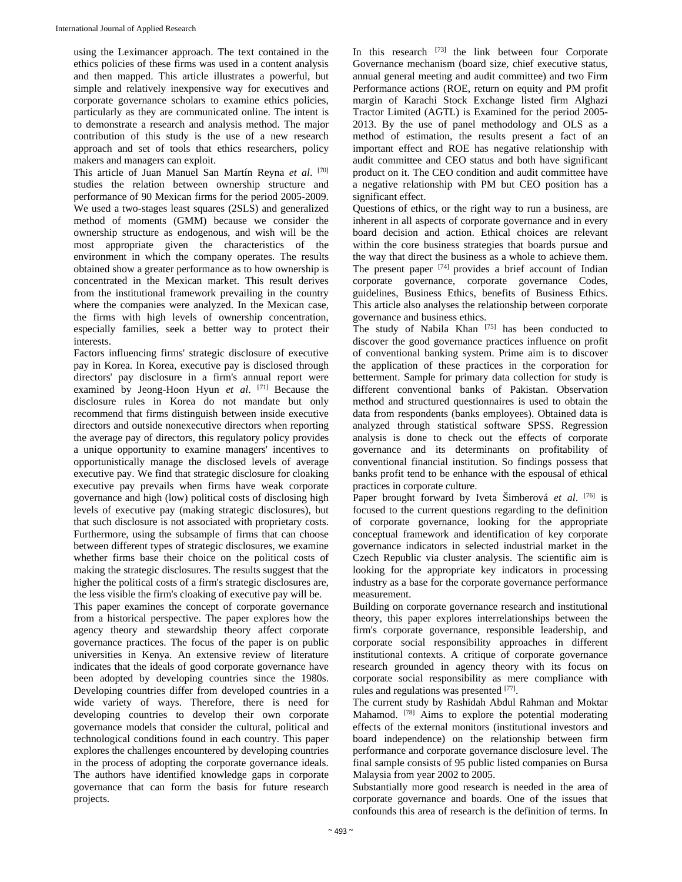using the Leximancer approach. The text contained in the ethics policies of these firms was used in a content analysis and then mapped. This article illustrates a powerful, but simple and relatively inexpensive way for executives and corporate governance scholars to examine ethics policies, particularly as they are communicated online. The intent is to demonstrate a research and analysis method. The major contribution of this study is the use of a new research approach and set of tools that ethics researchers, policy makers and managers can exploit.

This article of Juan Manuel San Martín Reyna *et al*. [70] studies the relation between ownership structure and performance of 90 Mexican firms for the period 2005-2009. We used a two-stages least squares (2SLS) and generalized method of moments (GMM) because we consider the ownership structure as endogenous, and wish will be the most appropriate given the characteristics of the environment in which the company operates. The results obtained show a greater performance as to how ownership is concentrated in the Mexican market. This result derives from the institutional framework prevailing in the country where the companies were analyzed. In the Mexican case, the firms with high levels of ownership concentration, especially families, seek a better way to protect their interests.

Factors influencing firms' strategic disclosure of executive pay in Korea. In Korea, executive pay is disclosed through directors' pay disclosure in a firm's annual report were examined by Jeong-Hoon Hyun *et al*. [71] Because the disclosure rules in Korea do not mandate but only recommend that firms distinguish between inside executive directors and outside nonexecutive directors when reporting the average pay of directors, this regulatory policy provides a unique opportunity to examine managers' incentives to opportunistically manage the disclosed levels of average executive pay. We find that strategic disclosure for cloaking executive pay prevails when firms have weak corporate governance and high (low) political costs of disclosing high levels of executive pay (making strategic disclosures), but that such disclosure is not associated with proprietary costs. Furthermore, using the subsample of firms that can choose between different types of strategic disclosures, we examine whether firms base their choice on the political costs of making the strategic disclosures. The results suggest that the higher the political costs of a firm's strategic disclosures are, the less visible the firm's cloaking of executive pay will be.

This paper examines the concept of corporate governance from a historical perspective. The paper explores how the agency theory and stewardship theory affect corporate governance practices. The focus of the paper is on public universities in Kenya. An extensive review of literature indicates that the ideals of good corporate governance have been adopted by developing countries since the 1980s. Developing countries differ from developed countries in a wide variety of ways. Therefore, there is need for developing countries to develop their own corporate governance models that consider the cultural, political and technological conditions found in each country. This paper explores the challenges encountered by developing countries in the process of adopting the corporate governance ideals. The authors have identified knowledge gaps in corporate governance that can form the basis for future research projects.

In this research [73] the link between four Corporate Governance mechanism (board size, chief executive status, annual general meeting and audit committee) and two Firm Performance actions (ROE, return on equity and PM profit margin of Karachi Stock Exchange listed firm Alghazi Tractor Limited (AGTL) is Examined for the period 2005- 2013. By the use of panel methodology and OLS as a method of estimation, the results present a fact of an important effect and ROE has negative relationship with audit committee and CEO status and both have significant product on it. The CEO condition and audit committee have a negative relationship with PM but CEO position has a significant effect.

Questions of ethics, or the right way to run a business, are inherent in all aspects of corporate governance and in every board decision and action. Ethical choices are relevant within the core business strategies that boards pursue and the way that direct the business as a whole to achieve them. The present paper [74] provides a brief account of Indian corporate governance, corporate governance Codes, guidelines, Business Ethics, benefits of Business Ethics. This article also analyses the relationship between corporate governance and business ethics.

The study of Nabila Khan  $[75]$  has been conducted to discover the good governance practices influence on profit of conventional banking system. Prime aim is to discover the application of these practices in the corporation for betterment. Sample for primary data collection for study is different conventional banks of Pakistan. Observation method and structured questionnaires is used to obtain the data from respondents (banks employees). Obtained data is analyzed through statistical software SPSS. Regression analysis is done to check out the effects of corporate governance and its determinants on profitability of conventional financial institution. So findings possess that banks profit tend to be enhance with the espousal of ethical practices in corporate culture.

Paper brought forward by Iveta Šimberová *et al*. [76] is focused to the current questions regarding to the definition of corporate governance, looking for the appropriate conceptual framework and identification of key corporate governance indicators in selected industrial market in the Czech Republic via cluster analysis. The scientific aim is looking for the appropriate key indicators in processing industry as a base for the corporate governance performance measurement.

Building on corporate governance research and institutional theory, this paper explores interrelationships between the firm's corporate governance, responsible leadership, and corporate social responsibility approaches in different institutional contexts. A critique of corporate governance research grounded in agency theory with its focus on corporate social responsibility as mere compliance with rules and regulations was presented [77].

The current study by Rashidah Abdul Rahman and Moktar Mahamod. <sup>[78]</sup> Aims to explore the potential moderating effects of the external monitors (institutional investors and board independence) on the relationship between firm performance and corporate governance disclosure level. The final sample consists of 95 public listed companies on Bursa Malaysia from year 2002 to 2005.

Substantially more good research is needed in the area of corporate governance and boards. One of the issues that confounds this area of research is the definition of terms. In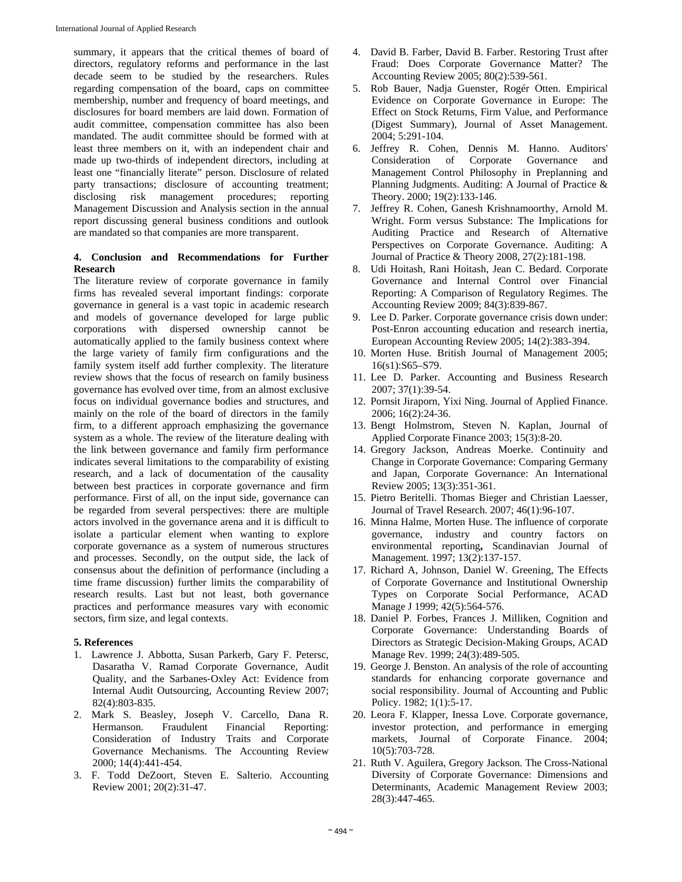summary, it appears that the critical themes of board of directors, regulatory reforms and performance in the last decade seem to be studied by the researchers. Rules regarding compensation of the board, caps on committee membership, number and frequency of board meetings, and disclosures for board members are laid down. Formation of audit committee, compensation committee has also been mandated. The audit committee should be formed with at least three members on it, with an independent chair and made up two-thirds of independent directors, including at least one "financially literate" person. Disclosure of related party transactions; disclosure of accounting treatment; disclosing risk management procedures; reporting Management Discussion and Analysis section in the annual report discussing general business conditions and outlook are mandated so that companies are more transparent.

## **4. Conclusion and Recommendations for Further Research**

The literature review of corporate governance in family firms has revealed several important findings: corporate governance in general is a vast topic in academic research and models of governance developed for large public corporations with dispersed ownership cannot be automatically applied to the family business context where the large variety of family firm configurations and the family system itself add further complexity. The literature review shows that the focus of research on family business governance has evolved over time, from an almost exclusive focus on individual governance bodies and structures, and mainly on the role of the board of directors in the family firm, to a different approach emphasizing the governance system as a whole. The review of the literature dealing with the link between governance and family firm performance indicates several limitations to the comparability of existing research, and a lack of documentation of the causality between best practices in corporate governance and firm performance. First of all, on the input side, governance can be regarded from several perspectives: there are multiple actors involved in the governance arena and it is difficult to isolate a particular element when wanting to explore corporate governance as a system of numerous structures and processes. Secondly, on the output side, the lack of consensus about the definition of performance (including a time frame discussion) further limits the comparability of research results. Last but not least, both governance practices and performance measures vary with economic sectors, firm size, and legal contexts.

### **5. References**

- 1. Lawrence J. Abbotta, Susan Parkerb, Gary F. Petersc, Dasaratha V. Ramad Corporate Governance, Audit Quality, and the Sarbanes‐Oxley Act: Evidence from Internal Audit Outsourcing, Accounting Review 2007; 82(4):803-835.
- 2. Mark S. Beasley, Joseph V. Carcello, Dana R. Hermanson. Fraudulent Financial Reporting: Consideration of Industry Traits and Corporate Governance Mechanisms. The Accounting Review 2000; 14(4):441-454.
- 3. F. Todd DeZoort, Steven E. Salterio. Accounting Review 2001; 20(2):31-47.
- 4. David B. Farber, David B. Farber. Restoring Trust after Fraud: Does Corporate Governance Matter? The Accounting Review 2005; 80(2):539-561.
- 5. Rob Bauer, Nadja Guenster, Rogér Otten. Empirical Evidence on Corporate Governance in Europe: The Effect on Stock Returns, Firm Value, and Performance (Digest Summary), Journal of Asset Management. 2004; 5:291-104.
- 6. Jeffrey R. Cohen, Dennis M. Hanno. Auditors' Consideration of Corporate Governance and Management Control Philosophy in Preplanning and Planning Judgments. Auditing: A Journal of Practice & Theory. 2000; 19(2):133-146.
- 7. Jeffrey R. Cohen, Ganesh Krishnamoorthy, Arnold M. Wright. Form versus Substance: The Implications for Auditing Practice and Research of Alternative Perspectives on Corporate Governance. Auditing: A Journal of Practice & Theory 2008, 27(2):181-198.
- 8. Udi Hoitash, Rani Hoitash, Jean C. Bedard. Corporate Governance and Internal Control over Financial Reporting: A Comparison of Regulatory Regimes. The Accounting Review 2009; 84(3):839-867.
- 9. Lee D. Parker. Corporate governance crisis down under: Post-Enron accounting education and research inertia, European Accounting Review 2005; 14(2):383-394.
- 10. Morten Huse. British Journal of Management 2005; 16(s1):S65–S79.
- 11. Lee D. Parker. Accounting and Business Research 2007; 37(1):39-54.
- 12. Pornsit Jiraporn, Yixi Ning. Journal of Applied Finance. 2006; 16(2):24-36.
- 13. Bengt Holmstrom, Steven N. Kaplan, Journal of Applied Corporate Finance 2003; 15(3):8-20.
- 14. Gregory Jackson, Andreas Moerke. Continuity and Change in Corporate Governance: Comparing Germany and Japan, Corporate Governance: An International Review 2005; 13(3):351-361.
- 15. Pietro Beritelli. Thomas Bieger and Christian Laesser, Journal of Travel Research. 2007; 46(1):96-107.
- 16. Minna Halme, Morten Huse. The influence of corporate governance, industry and country factors on environmental reporting**,** Scandinavian Journal of Management. 1997; 13(2):137-157.
- 17. Richard A, Johnson, Daniel W. Greening, The Effects of Corporate Governance and Institutional Ownership Types on Corporate Social Performance, ACAD Manage J 1999; 42(5):564-576.
- 18. Daniel P. Forbes, Frances J. Milliken, Cognition and Corporate Governance: Understanding Boards of Directors as Strategic Decision-Making Groups, ACAD Manage Rev. 1999; 24(3):489-505.
- 19. George J. Benston. An analysis of the role of accounting standards for enhancing corporate governance and social responsibility. Journal of Accounting and Public Policy. 1982; 1(1):5-17.
- 20. Leora F. Klapper, Inessa Love. Corporate governance, investor protection, and performance in emerging markets, Journal of Corporate Finance. 2004; 10(5):703-728.
- 21. Ruth V. Aguilera, Gregory Jackson. The Cross-National Diversity of Corporate Governance: Dimensions and Determinants, Academic Management Review 2003; 28(3):447-465.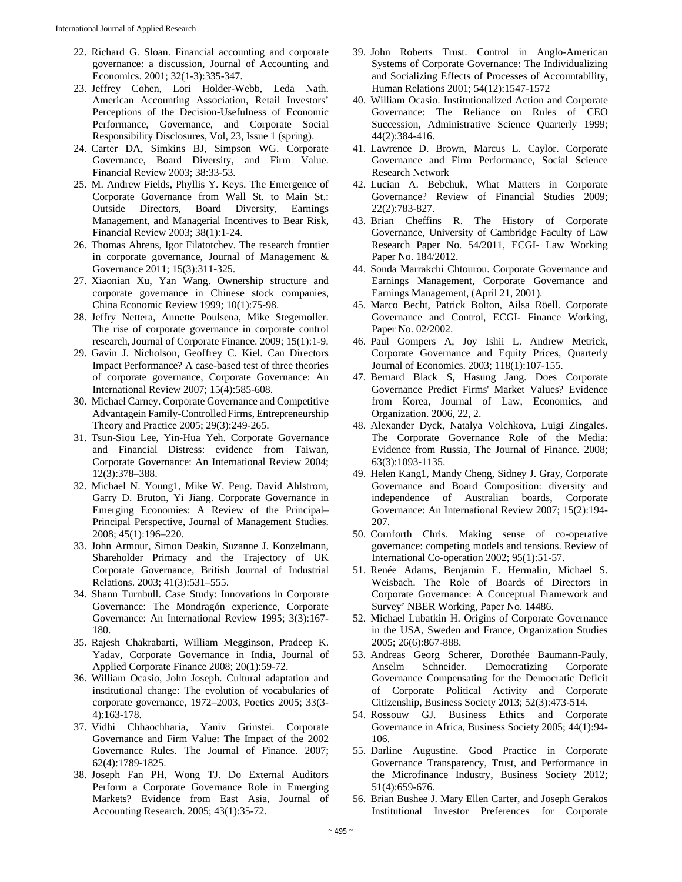- 22. Richard G. Sloan. Financial accounting and corporate governance: a discussion, Journal of Accounting and Economics. 2001; 32(1-3):335-347.
- 23. Jeffrey Cohen, Lori Holder-Webb, Leda Nath. American Accounting Association, Retail Investors' Perceptions of the Decision-Usefulness of Economic Performance, Governance, and Corporate Social Responsibility Disclosures, Vol, 23, Issue 1 (spring).
- 24. Carter DA, Simkins BJ, Simpson WG. Corporate Governance, Board Diversity, and Firm Value. Financial Review 2003; 38:33-53.
- 25. M. Andrew Fields, Phyllis Y. Keys. The Emergence of Corporate Governance from Wall St. to Main St.: Outside Directors, Board Diversity, Earnings Management, and Managerial Incentives to Bear Risk, Financial Review 2003; 38(1):1-24.
- 26. Thomas Ahrens, Igor Filatotchev. The research frontier in corporate governance, Journal of Management & Governance 2011; 15(3):311-325.
- 27. Xiaonian Xu, Yan Wang. Ownership structure and corporate governance in Chinese stock companies, China Economic Review 1999; 10(1):75-98.
- 28. Jeffry Nettera, Annette Poulsena, Mike Stegemoller. The rise of corporate governance in corporate control research, Journal of Corporate Finance. 2009; 15(1):1-9.
- 29. Gavin J. Nicholson, Geoffrey C. Kiel. Can Directors Impact Performance? A case-based test of three theories of corporate governance, Corporate Governance: An International Review 2007; 15(4):585-608.
- 30. Michael Carney. Corporate Governance and Competitive Advantagein Family-Controlled Firms, Entrepreneurship Theory and Practice 2005; 29(3):249-265.
- 31. Tsun-Siou Lee, Yin-Hua Yeh. Corporate Governance and Financial Distress: evidence from Taiwan, Corporate Governance: An International Review 2004; 12(3):378–388.
- 32. Michael N. Young1, Mike W. Peng. David Ahlstrom, Garry D. Bruton, Yi Jiang. Corporate Governance in Emerging Economies: A Review of the Principal– Principal Perspective, Journal of Management Studies. 2008; 45(1):196–220.
- 33. John Armour, Simon Deakin, Suzanne J. Konzelmann, Shareholder Primacy and the Trajectory of UK Corporate Governance, British Journal of Industrial Relations. 2003; 41(3):531–555.
- 34. Shann Turnbull. Case Study: Innovations in Corporate Governance: The Mondragón experience, Corporate Governance: An International Review 1995; 3(3):167- 180.
- 35. Rajesh Chakrabarti, William Megginson, Pradeep K. Yadav, Corporate Governance in India, Journal of Applied Corporate Finance 2008; 20(1):59-72.
- 36. William Ocasio, John Joseph. Cultural adaptation and institutional change: The evolution of vocabularies of corporate governance, 1972–2003, Poetics 2005; 33(3- 4):163-178.
- 37. Vidhi Chhaochharia, Yaniv Grinstei. Corporate Governance and Firm Value: The Impact of the 2002 Governance Rules. The Journal of Finance. 2007; 62(4):1789-1825.
- 38. Joseph Fan PH, Wong TJ. Do External Auditors Perform a Corporate Governance Role in Emerging Markets? Evidence from East Asia, Journal of Accounting Research. 2005; 43(1):35-72.
- 39. John Roberts Trust. Control in Anglo-American Systems of Corporate Governance: The Individualizing and Socializing Effects of Processes of Accountability, Human Relations 2001; 54(12):1547-1572
- 40. William Ocasio. Institutionalized Action and Corporate Governance: The Reliance on Rules of CEO Succession, Administrative Science Quarterly 1999; 44(2):384-416.
- 41. Lawrence D. Brown, Marcus L. Caylor. Corporate Governance and Firm Performance, Social Science Research Network
- 42. Lucian A. Bebchuk, What Matters in Corporate Governance? Review of Financial Studies 2009; 22(2):783-827.
- 43. Brian Cheffins R. The History of Corporate Governance, University of Cambridge Faculty of Law Research Paper No. 54/2011, ECGI- Law Working Paper No. 184/2012.
- 44. Sonda Marrakchi Chtourou. Corporate Governance and Earnings Management, Corporate Governance and Earnings Management, (April 21, 2001).
- 45. Marco Becht, Patrick Bolton, Ailsa Röell. Corporate Governance and Control, ECGI- Finance Working, Paper No. 02/2002.
- 46. Paul Gompers A, Joy Ishii L. Andrew Metrick, Corporate Governance and Equity Prices, Quarterly Journal of Economics. 2003; 118(1):107-155.
- 47. Bernard Black S, Hasung Jang. Does Corporate Governance Predict Firms' Market Values? Evidence from Korea, Journal of Law, Economics, and Organization. 2006, 22, 2.
- 48. Alexander Dyck, Natalya Volchkova, Luigi Zingales. The Corporate Governance Role of the Media: Evidence from Russia, The Journal of Finance. 2008; 63(3):1093-1135.
- 49. Helen Kang1, Mandy Cheng, Sidney J. Gray, Corporate Governance and Board Composition: diversity and independence of Australian boards, Corporate Governance: An International Review 2007; 15(2):194- 207.
- 50. Cornforth Chris. Making sense of co-operative governance: competing models and tensions. Review of International Co-operation 2002; 95(1):51-57.
- 51. Renée Adams, Benjamin E. Hermalin, Michael S. Weisbach. The Role of Boards of Directors in Corporate Governance: A Conceptual Framework and Survey' NBER Working, Paper No. 14486.
- 52. Michael Lubatkin H. Origins of Corporate Governance in the USA, Sweden and France, Organization Studies 2005; 26(6):867-888.
- 53. Andreas Georg Scherer, Dorothée Baumann-Pauly, Anselm Schneider. Democratizing Corporate Governance Compensating for the Democratic Deficit of Corporate Political Activity and Corporate Citizenship, Business Society 2013; 52(3):473-514.
- 54. Rossouw GJ. Business Ethics and Corporate Governance in Africa, Business Society 2005; 44(1):94- 106.
- 55. Darline Augustine. Good Practice in Corporate Governance Transparency, Trust, and Performance in the Microfinance Industry, Business Society 2012; 51(4):659-676.
- 56. Brian Bushee J. Mary Ellen Carter, and Joseph Gerakos Institutional Investor Preferences for Corporate